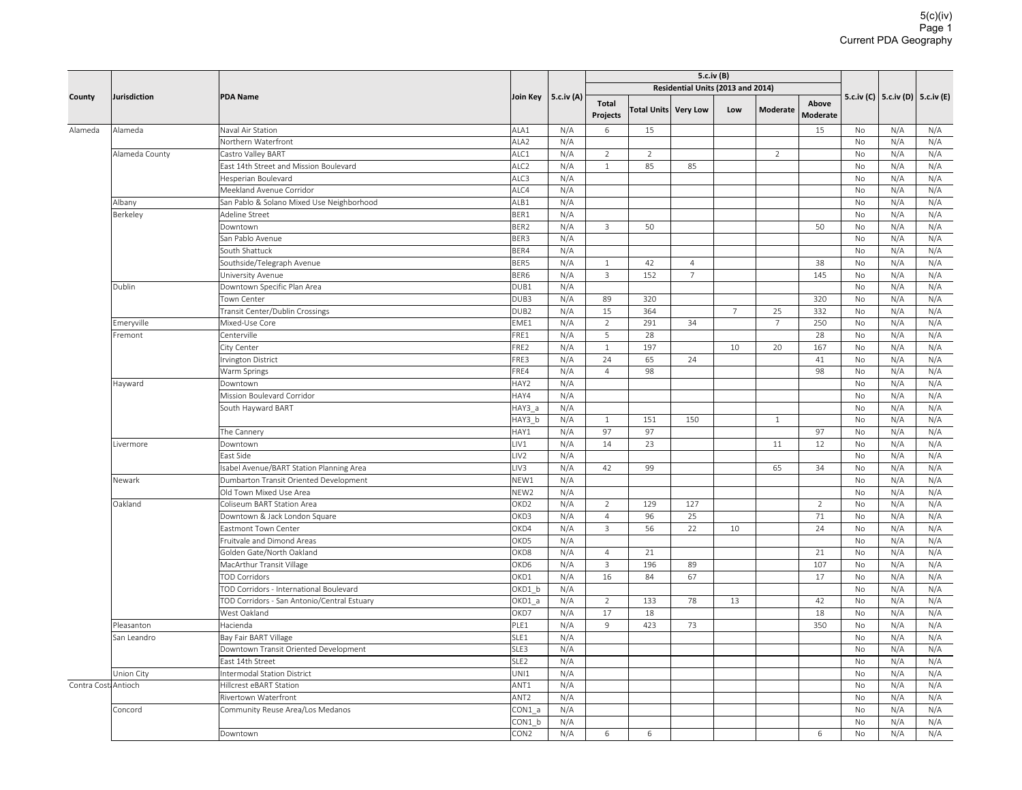|                     | Jurisdiction   | <b>PDA Name</b>                             |                          | 5.c.iv (A) |                   |                |                      |                | 5.c.iv (C)   5.c.iv (D)   5.c.iv (E) |                                   |                 |            |            |
|---------------------|----------------|---------------------------------------------|--------------------------|------------|-------------------|----------------|----------------------|----------------|--------------------------------------|-----------------------------------|-----------------|------------|------------|
| County              |                |                                             | Join Key                 |            |                   |                |                      |                |                                      | Residential Units (2013 and 2014) |                 |            |            |
|                     |                |                                             |                          |            | Total<br>Projects |                | Total Units Very Low | Low            | <b>Moderate</b>                      | Above<br><b>Moderate</b>          |                 |            |            |
| Alameda             | Alameda        | Naval Air Station                           | ALA1                     | N/A        | $\sqrt{6}$        | 15             |                      |                |                                      | 15                                | No              | N/A        | N/A        |
|                     |                | Northern Waterfront                         | ALA <sub>2</sub>         | N/A        |                   |                |                      |                |                                      |                                   | No              | N/A        | N/A        |
|                     | Alameda County | Castro Valley BART                          | ALC1                     | N/A        | 2                 | $\overline{2}$ |                      |                | $\overline{2}$                       |                                   | No              | N/A        | N/A        |
|                     |                | East 14th Street and Mission Boulevard      | ALC <sub>2</sub>         | N/A        | $1\,$             | 85             | 85                   |                |                                      |                                   | No              | N/A        | N/A        |
|                     |                | Hesperian Boulevard                         | ALC3                     | N/A        |                   |                |                      |                |                                      |                                   | No              | N/A        | N/A        |
|                     |                | Meekland Avenue Corridor                    | ALC4                     | N/A        |                   |                |                      |                |                                      |                                   | No              | N/A        | N/A        |
|                     | Albany         | San Pablo & Solano Mixed Use Neighborhood   | ALB1                     | N/A        |                   |                |                      |                |                                      |                                   | No              | N/A        | N/A        |
|                     | Berkeley       | Adeline Street                              | BER1                     | N/A        |                   |                |                      |                |                                      |                                   | <b>No</b>       | N/A        | N/A        |
|                     |                | Downtown                                    | BER2                     | N/A        | $\mathsf 3$       | 50             |                      |                |                                      | 50                                | No              | N/A        | N/A        |
|                     |                | San Pablo Avenue                            | BER3                     | N/A        |                   |                |                      |                |                                      |                                   | No              | N/A        | N/A        |
|                     |                | South Shattuck                              | BER4                     | N/A        |                   |                |                      |                |                                      |                                   | <b>No</b>       | N/A        | N/A        |
|                     |                | Southside/Telegraph Avenue                  | BER5                     | N/A        | $1\,$             | 42             | $\overline{4}$       |                |                                      | 38                                | No              | N/A        | N/A        |
|                     |                | University Avenue                           | BER6                     | N/A        | $\overline{3}$    | 152            | $7^{\circ}$          |                |                                      | 145                               | <b>No</b>       | N/A        | N/A        |
|                     | Dublin         | Downtown Specific Plan Area                 | DUB1                     | N/A        |                   |                |                      |                |                                      |                                   | No              | N/A        | N/A        |
|                     |                | Town Center                                 | DUB3                     | N/A        | 89                | 320            |                      |                |                                      | 320                               | No              | N/A        | N/A        |
|                     |                | Transit Center/Dublin Crossings             | DUB <sub>2</sub>         | N/A        | 15                | 364            |                      | $\overline{7}$ | 25                                   | 332                               | No              | N/A        | N/A        |
|                     | Emeryville     | Mixed-Use Core                              | EME1                     | N/A        | 2                 | 291            | 34                   |                | $\overline{7}$                       | 250                               | No              | N/A        | N/A        |
|                     | Fremont        | Centerville                                 | FRE1                     | N/A        | 5                 | 28             |                      |                |                                      | 28                                | No              | N/A        | N/A        |
|                     |                | City Center                                 | FRE2                     | N/A        | $\mathbf{1}$      | 197            |                      | 10             | 20                                   | 167                               | <b>No</b>       | N/A        | N/A        |
|                     |                | Irvington District                          | FRE3                     | N/A        | 24                | 65             | 24                   |                |                                      | 41                                | No              | N/A        | N/A        |
|                     |                | Warm Springs                                | FRE4                     | N/A        | $\overline{4}$    | 98             |                      |                |                                      | 98                                | No              | N/A        | N/A        |
|                     | Hayward        | Downtown                                    | HAY2                     | N/A        |                   |                |                      |                |                                      |                                   | No              | N/A        | N/A        |
|                     |                | Mission Boulevard Corridor                  | HAY4                     | N/A        |                   |                |                      |                |                                      |                                   | No              | N/A        | N/A        |
|                     |                | South Hayward BART                          | HAY3_a                   | N/A        |                   |                |                      |                |                                      |                                   | <b>No</b>       | N/A        | N/A        |
|                     |                |                                             | HAY3 b                   | N/A        | $\mathbf{1}$      | 151            | 150                  |                | $\mathbf{1}$                         |                                   | No              | N/A        | N/A        |
|                     |                | The Cannery                                 | HAY1                     | N/A        | 97                | 97             |                      |                |                                      | 97                                | No              | N/A        | N/A        |
|                     | Livermore      | Downtown                                    | LIV1                     | N/A        | 14                | 23             |                      |                | 11                                   | 12                                | No              | N/A        | N/A        |
|                     |                | East Side                                   | LIV <sub>2</sub>         | N/A        |                   |                |                      |                |                                      |                                   | No              | N/A        | N/A        |
|                     |                | sabel Avenue/BART Station Planning Area     | LIV3                     | N/A        | 42                | 99             |                      |                | 65                                   | 34                                | No              | N/A        | N/A        |
|                     | Newark         | Dumbarton Transit Oriented Development      | NEW1                     | N/A        |                   |                |                      |                |                                      |                                   | No              | N/A        | N/A        |
|                     |                | Old Town Mixed Use Area                     | NEW <sub>2</sub>         | N/A        |                   |                |                      |                |                                      |                                   | No              | N/A        | N/A        |
|                     | Oakland        | <b>Coliseum BART Station Area</b>           | OKD <sub>2</sub>         | N/A        | $\overline{2}$    | 129            | 127                  |                |                                      | $\overline{2}$                    | <b>No</b>       | N/A        | N/A        |
|                     |                | Downtown & Jack London Square               | OKD3                     | N/A        | $\overline{4}$    | 96             | 25                   |                |                                      | 71                                | No              | N/A        | N/A        |
|                     |                | Eastmont Town Center                        | OKD4                     | N/A        | 3                 | 56             | 22                   | 10             |                                      | 24                                | <b>No</b>       | N/A        | N/A        |
|                     |                | Fruitvale and Dimond Areas                  | OKD5                     | N/A        |                   |                |                      |                |                                      |                                   | No              | N/A        | N/A        |
|                     |                | Golden Gate/North Oakland                   | OKD8                     | N/A        | $\overline{4}$    | 21             |                      |                |                                      | 21                                | No              | N/A        | N/A        |
|                     |                | MacArthur Transit Village                   | OKD6                     | N/A        | $\overline{3}$    | 196            | 89                   |                |                                      | 107                               | No              | N/A        | N/A        |
|                     |                | <b>TOD Corridors</b>                        | OKD1                     | N/A        | 16                | 84             | 67                   |                |                                      | 17                                | No              | N/A        | N/A        |
|                     |                | TOD Corridors - International Boulevard     | OKD1 b                   | N/A        |                   |                |                      |                |                                      |                                   | No              | N/A        | N/A        |
|                     |                | TOD Corridors - San Antonio/Central Estuary | OKD1 a                   | N/A        | $\overline{2}$    | 133            | 78                   | 13             |                                      | 42                                | <b>No</b>       | N/A        | N/A        |
|                     |                | West Oakland                                | OKD7                     | N/A        | 17                | 18             |                      |                |                                      | 18                                | No              | N/A        | N/A        |
|                     | Pleasanton     | Hacienda                                    | PLE1                     | N/A        | 9                 | 423            | 73                   |                |                                      | 350                               | No              | N/A        | N/A        |
|                     | San Leandro    | Bay Fair BART Village                       | SLE1                     | N/A        |                   |                |                      |                |                                      |                                   | No              | N/A        | N/A        |
|                     |                | Downtown Transit Oriented Development       | SLE3<br>SLE <sub>2</sub> | N/A<br>N/A |                   |                |                      |                |                                      |                                   | No              | N/A<br>N/A | N/A        |
|                     |                | East 14th Street                            |                          |            |                   |                |                      |                |                                      |                                   | No<br><b>No</b> |            | N/A        |
|                     | Union City     | <b>Intermodal Station District</b>          | UNI1<br>ANT1             | N/A<br>N/A |                   |                |                      |                |                                      |                                   |                 | N/A        | N/A        |
| Contra Cost Antioch |                | Hillcrest eBART Station                     | ANT <sub>2</sub>         | N/A        |                   |                |                      |                |                                      |                                   | No              | N/A        | N/A        |
|                     | Concord        | Rivertown Waterfront                        |                          |            |                   |                |                      |                |                                      |                                   | No<br>No        | N/A        | N/A        |
|                     |                | Community Reuse Area/Los Medanos            | CON1_a<br>CON1 b         | N/A<br>N/A |                   |                |                      |                |                                      |                                   | No              | N/A<br>N/A | N/A<br>N/A |
|                     |                | Downtown                                    | CON <sub>2</sub>         | N/A        | 6                 | 6              |                      |                |                                      | 6                                 | <b>No</b>       | N/A        | N/A        |
|                     |                |                                             |                          |            |                   |                |                      |                |                                      |                                   |                 |            |            |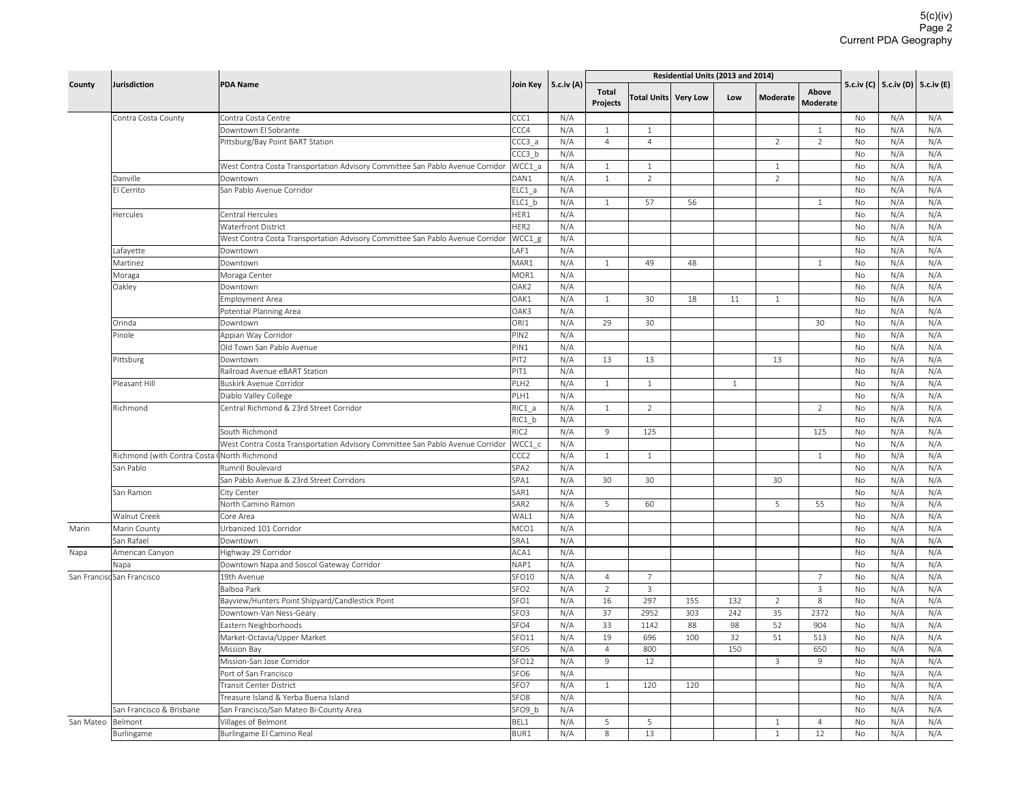|                   |                                             |                                                                               | Join Key         |     |                | Residential Units (2013 and 2014) |                      |              |                |                |                          |     |                                      |
|-------------------|---------------------------------------------|-------------------------------------------------------------------------------|------------------|-----|----------------|-----------------------------------|----------------------|--------------|----------------|----------------|--------------------------|-----|--------------------------------------|
| County            | Jurisdiction                                | <b>PDA Name</b>                                                               |                  |     | 5.c.iv (A)     | <b>Total</b><br><b>Projects</b>   | Total Units Very Low |              | Low            | Moderate       | Above<br><b>Moderate</b> |     | 5.c.iv (C)   5.c.iv (D)   5.c.iv (E) |
|                   | Contra Costa County                         | Contra Costa Centre                                                           | CCC1             | N/A |                |                                   |                      |              |                |                | No                       | N/A | N/A                                  |
|                   |                                             | Downtown El Sobrante                                                          | CCC4             | N/A | $\mathbf{1}$   | $\mathbf{1}$                      |                      |              |                | $\mathbf{1}$   | No                       | N/A | N/A                                  |
|                   |                                             | Pittsburg/Bay Point BART Station                                              | CCC3 a           | N/A | $\overline{4}$ | $\overline{4}$                    |                      |              | 2              | $\overline{2}$ | <b>No</b>                | N/A | N/A                                  |
|                   |                                             |                                                                               | CCC3 b           | N/A |                |                                   |                      |              |                |                | No                       | N/A | N/A                                  |
|                   |                                             | West Contra Costa Transportation Advisory Committee San Pablo Avenue Corridor | WCC1 a           | N/A | $\mathbf{1}$   | $\mathbf{1}$                      |                      |              | $\mathbf{1}$   |                | No                       | N/A | N/A                                  |
|                   | Danville                                    | Downtown                                                                      | DAN1             | N/A | $\mathbf{1}$   | $\overline{2}$                    |                      |              | $\overline{2}$ |                | No                       | N/A | N/A                                  |
|                   | El Cerrito                                  | San Pablo Avenue Corridor                                                     | ELC1 a           | N/A |                |                                   |                      |              |                |                | No                       | N/A | N/A                                  |
|                   |                                             |                                                                               | ELC1 b           | N/A | $\mathbf{1}$   | 57                                | 56                   |              |                | $\mathbf{1}$   | <b>No</b>                | N/A | N/A                                  |
|                   | Hercules                                    | Central Hercules                                                              | HER1             | N/A |                |                                   |                      |              |                |                | No                       | N/A | N/A                                  |
|                   |                                             | <b>Waterfront District</b>                                                    | HER <sub>2</sub> | N/A |                |                                   |                      |              |                |                | <b>No</b>                | N/A | N/A                                  |
|                   |                                             | West Contra Costa Transportation Advisory Committee San Pablo Avenue Corridor | WCC1 g           | N/A |                |                                   |                      |              |                |                | No                       | N/A | N/A                                  |
|                   | Lafayette                                   | Downtown                                                                      | LAF1             | N/A |                |                                   |                      |              |                |                | No                       | N/A | N/A                                  |
|                   | Martinez                                    | Downtown                                                                      | MAR1             | N/A | $\mathbf{1}$   | 49                                | 48                   |              |                | $\mathbf{1}$   | No                       | N/A | N/A                                  |
|                   | Moraga                                      | Moraga Center                                                                 | MOR1             | N/A |                |                                   |                      |              |                |                | No                       | N/A | N/A                                  |
|                   | Oakley                                      | Downtown                                                                      | OAK2             | N/A |                |                                   |                      |              |                |                | No                       | N/A | N/A                                  |
|                   |                                             | Employment Area                                                               | OAK1             | N/A | $\mathbf{1}$   | 30                                | 18                   | 11           | $\mathbf{1}$   |                | No                       | N/A | N/A                                  |
|                   |                                             | Potential Planning Area                                                       | OAK3             | N/A |                |                                   |                      |              |                |                | <b>No</b>                | N/A | N/A                                  |
|                   | Orinda                                      | Downtown                                                                      | ORI1             | N/A | 29             | 30                                |                      |              |                | 30             | No                       | N/A | N/A                                  |
|                   | Pinole                                      | Appian Way Corridor                                                           | PIN <sub>2</sub> | N/A |                |                                   |                      |              |                |                | <b>No</b>                | N/A | N/A                                  |
|                   |                                             | Old Town San Pablo Avenue                                                     | PIN1             | N/A |                |                                   |                      |              |                |                | No                       | N/A | N/A                                  |
|                   | Pittsburg                                   | Downtown                                                                      | PIT <sub>2</sub> | N/A | 13             | 13                                |                      |              | 13             |                | <b>No</b>                | N/A | N/A                                  |
|                   |                                             | Railroad Avenue eBART Station                                                 | PIT1             | N/A |                |                                   |                      |              |                |                | No                       | N/A | N/A                                  |
|                   | Pleasant Hill                               | Buskirk Avenue Corridor                                                       | PLH <sub>2</sub> | N/A | $\mathbf{1}$   | $\mathbf{1}$                      |                      | $\mathbf{1}$ |                |                | No                       | N/A | N/A                                  |
|                   |                                             | Diablo Valley College                                                         | PLH1             | N/A |                |                                   |                      |              |                |                | No                       | N/A | N/A                                  |
|                   | Richmond                                    | Central Richmond & 23rd Street Corridor                                       | RIC1 a           | N/A | $\mathbf{1}$   | $\overline{2}$                    |                      |              |                | $\overline{2}$ | No                       | N/A | N/A                                  |
|                   |                                             |                                                                               | RIC1 b           | N/A |                |                                   |                      |              |                |                | No                       | N/A | N/A                                  |
|                   |                                             | South Richmond                                                                | RIC <sub>2</sub> | N/A | 9              | 125                               |                      |              |                | 125            | <b>No</b>                | N/A | N/A                                  |
|                   |                                             | West Contra Costa Transportation Advisory Committee San Pablo Avenue Corridor | WCC1 c           | N/A |                |                                   |                      |              |                |                | No                       | N/A | N/A                                  |
|                   | Richmond (with Contra Costa (North Richmond |                                                                               | CC <sub>2</sub>  | N/A | $\mathbf{1}$   | $\mathbf{1}$                      |                      |              |                | $\mathbf{1}$   | No                       | N/A | N/A                                  |
|                   | San Pablo                                   | Rumrill Boulevard                                                             | SPA <sub>2</sub> | N/A |                |                                   |                      |              |                |                | <b>No</b>                | N/A | N/A                                  |
|                   |                                             | San Pablo Avenue & 23rd Street Corridors                                      | SPA1             | N/A | 30             | 30                                |                      |              | 30             |                | No                       | N/A | N/A                                  |
|                   | San Ramon                                   | City Center                                                                   | SAR1             | N/A |                |                                   |                      |              |                |                | <b>No</b>                | N/A | N/A                                  |
|                   |                                             | North Camino Ramon                                                            | SAR <sub>2</sub> | N/A | 5              | 60                                |                      |              | 5              | 55             | No                       | N/A | N/A                                  |
|                   | <b>Walnut Creek</b>                         | Core Area                                                                     | WAL1             | N/A |                |                                   |                      |              |                |                | No                       | N/A | N/A                                  |
| Marin             | Marin County                                | Urbanized 101 Corridor                                                        | MCO1             | N/A |                |                                   |                      |              |                |                | <b>No</b>                | N/A | N/A                                  |
|                   | San Rafael                                  | Downtown                                                                      | SRA1             | N/A |                |                                   |                      |              |                |                | No                       | N/A | N/A                                  |
| Napa              | American Canyon                             | Highway 29 Corridor                                                           | ACA1             | N/A |                |                                   |                      |              |                |                | No                       | N/A | N/A                                  |
|                   | Napa                                        | Downtown Napa and Soscol Gateway Corridor                                     | NAP1             | N/A |                |                                   |                      |              |                |                | No                       | N/A | N/A                                  |
|                   | San Francisc San Francisco                  | 19th Avenue                                                                   | SFO10            | N/A | $\overline{4}$ | $\overline{7}$                    |                      |              |                | $\overline{7}$ | No                       | N/A | N/A                                  |
|                   |                                             | Balboa Park                                                                   | SFO <sub>2</sub> | N/A | 2              | $\overline{3}$                    |                      |              |                | $\overline{3}$ | <b>No</b>                | N/A | N/A                                  |
|                   |                                             | Bayview/Hunters Point Shipyard/Candlestick Point                              | SFO <sub>1</sub> | N/A | 16             | 297                               | 155                  | 132          | $\overline{2}$ | 8              | No                       | N/A | N/A                                  |
|                   |                                             | Downtown-Van Ness-Geary                                                       | SFO <sub>3</sub> | N/A | 37             | 2952                              | 303                  | 242          | 35             | 2372           | No                       | N/A | N/A                                  |
|                   |                                             | Eastern Neighborhoods                                                         | SFO4             | N/A | 33             | 1142                              | 88                   | 98           | 52             | 904            | No                       | N/A | N/A                                  |
|                   |                                             | Market-Octavia/Upper Market                                                   | SFO11            | N/A | 19             | 696                               | 100                  | 32           | 51             | 513            | No                       | N/A | N/A                                  |
|                   |                                             | Mission Bay                                                                   | SFO <sub>5</sub> | N/A | $\overline{4}$ | 800                               |                      | 150          |                | 650            | <b>No</b>                | N/A | N/A                                  |
|                   |                                             | Mission-San Jose Corridor                                                     | SFO12            | N/A | 9              | 12                                |                      |              | 3              | 9              | No                       | N/A | N/A                                  |
|                   |                                             | Port of San Francisco                                                         | SFO <sub>6</sub> | N/A |                |                                   |                      |              |                |                | No                       | N/A | N/A                                  |
|                   |                                             | Transit Center District                                                       | SFO7             | N/A | $\mathbf{1}$   | 120                               | 120                  |              |                |                | No                       | N/A | N/A                                  |
|                   |                                             | Treasure Island & Yerba Buena Island                                          | SFO <sub>8</sub> | N/A |                |                                   |                      |              |                |                | No                       | N/A | N/A                                  |
|                   | San Francisco & Brisbane                    | San Francisco/San Mateo Bi-County Area                                        | SFO9 b           | N/A |                |                                   |                      |              |                |                | No                       | N/A | N/A                                  |
| San Mateo Belmont |                                             | Villages of Belmont                                                           | BEL1             | N/A | 5              | 5                                 |                      |              | 1              | $\overline{4}$ | <b>No</b>                | N/A | N/A                                  |
|                   | Burlingame                                  | Burlingame El Camino Real                                                     | BUR1             | N/A | 8              | 13                                |                      |              | $\,1\,$        | 12             | No                       | N/A | N/A                                  |
|                   |                                             |                                                                               |                  |     |                |                                   |                      |              |                |                |                          |     |                                      |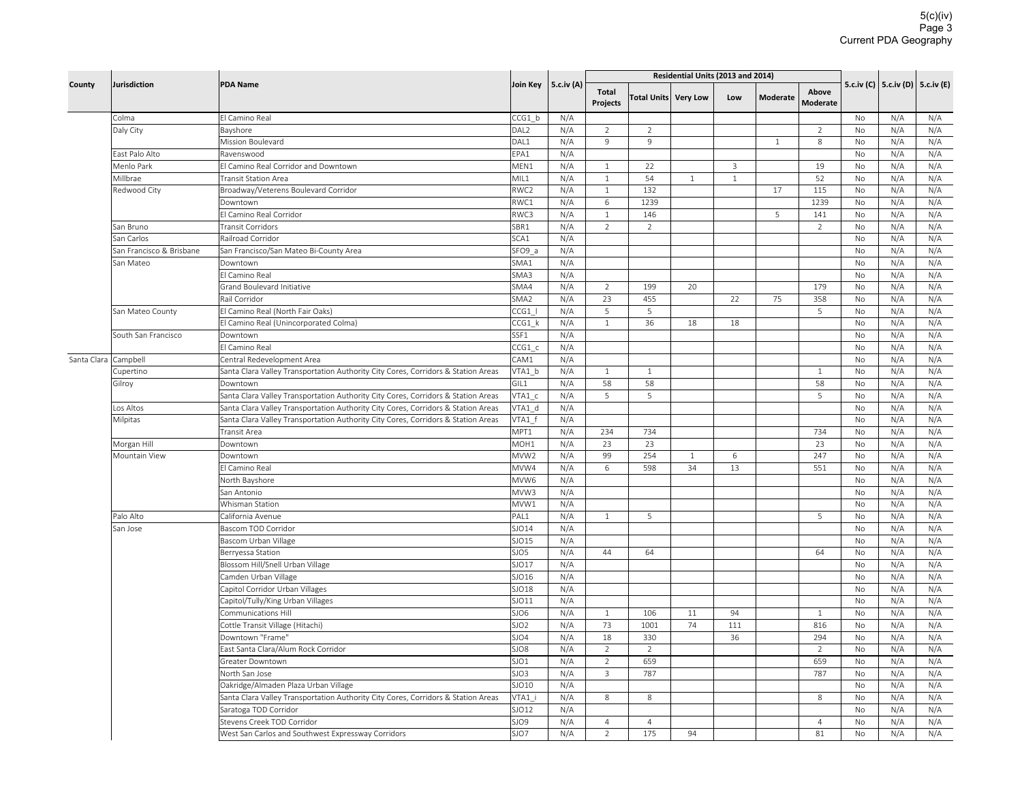|                      |                          | <b>PDA Name</b>                                                                   | Join Key         | 5.c.iv (A) |                   |                |                      |         | Residential Units (2013 and 2014) |                          |           |                                      |            |
|----------------------|--------------------------|-----------------------------------------------------------------------------------|------------------|------------|-------------------|----------------|----------------------|---------|-----------------------------------|--------------------------|-----------|--------------------------------------|------------|
|                      | Jurisdiction<br>County   |                                                                                   |                  |            | Total<br>Projects |                | Total Units Very Low | Low     | <b>Moderate</b>                   | Above<br><b>Moderate</b> |           | 5.c.iv (C)   5.c.iv (D)   5.c.iv (E) |            |
|                      | Colma                    | El Camino Real                                                                    | CCG1 b           | N/A        |                   |                |                      |         |                                   |                          | No        | N/A                                  | N/A        |
|                      | Daly City                | Bayshore                                                                          | DAL <sub>2</sub> | N/A        | $\overline{2}$    | $\overline{2}$ |                      |         |                                   | $\overline{2}$           | No        | N/A                                  | N/A        |
|                      |                          | Mission Boulevard                                                                 | DAL1             | N/A        | 9                 | 9              |                      |         | $\mathbf{1}$                      | 8                        | <b>No</b> | N/A                                  | N/A        |
|                      | East Palo Alto           | Ravenswood                                                                        | EPA1             | N/A        |                   |                |                      |         |                                   |                          | No        | N/A                                  | N/A        |
|                      | Menlo Park               | El Camino Real Corridor and Downtown                                              | MEN1             | N/A        | $\mathbf{1}$      | 22             |                      | 3       |                                   | 19                       | No        | N/A                                  | N/A        |
|                      | Millbrae                 | <b>Transit Station Area</b>                                                       | MIL1             | N/A        | $\mathbf{1}$      | 54             | $\mathbf{1}$         | $\,1\,$ |                                   | 52                       | No        | N/A                                  | N/A        |
|                      | Redwood City             | Broadway/Veterens Boulevard Corridor                                              | RWC2             | N/A        | $\mathbf{1}$      | 132            |                      |         | 17                                | 115                      | No        | N/A                                  | N/A        |
|                      |                          | Downtown                                                                          | RWC1             | N/A        | $\,$ 6            | 1239           |                      |         |                                   | 1239                     | No        | N/A                                  | N/A        |
|                      |                          | El Camino Real Corridor                                                           | RWC3             | N/A        | $\mathbf{1}$      | 146            |                      |         | 5                                 | 141                      | No        | N/A                                  | N/A        |
|                      | San Bruno                | <b>Transit Corridors</b>                                                          | SBR1             | N/A        | 2                 | $\overline{2}$ |                      |         |                                   | $\overline{2}$           | No        | N/A                                  | N/A        |
|                      | San Carlos               | Railroad Corridor                                                                 | SCA1             | N/A        |                   |                |                      |         |                                   |                          | No        | N/A                                  | N/A        |
|                      | San Francisco & Brisbane | San Francisco/San Mateo Bi-County Area                                            | SFO9 a           | N/A        |                   |                |                      |         |                                   |                          | <b>No</b> | N/A                                  | N/A        |
|                      | San Mateo                | Downtown                                                                          | SMA1             | N/A        |                   |                |                      |         |                                   |                          | No        | N/A                                  | N/A        |
|                      |                          | El Camino Real                                                                    | SMA3             | N/A        |                   |                |                      |         |                                   |                          | No        | N/A                                  | N/A        |
|                      |                          | Grand Boulevard Initiative                                                        | SMA4             | N/A        | 2                 | 199            | 20                   |         |                                   | 179                      | No        | N/A                                  | N/A        |
|                      |                          | Rail Corridor                                                                     | SMA <sub>2</sub> | N/A        | 23                | 455            |                      | 22      | 75                                | 358                      | No        | N/A                                  | N/A        |
|                      | San Mateo County         | El Camino Real (North Fair Oaks)                                                  | CCG1             | N/A        | 5                 | 5              |                      |         |                                   | 5                        | No        | N/A                                  | N/A        |
|                      |                          | El Camino Real (Unincorporated Colma)                                             | $CCG1$ $k$       | N/A        | 1                 | 36             | 18                   | 18      |                                   |                          | <b>No</b> | N/A                                  | N/A        |
|                      | South San Francisco      | Downtown                                                                          | SSF1             | N/A        |                   |                |                      |         |                                   |                          | No        | N/A                                  | N/A        |
|                      |                          | El Camino Real                                                                    | CCG1 c           | N/A        |                   |                |                      |         |                                   |                          | No        | N/A                                  | N/A        |
| Santa Clara Campbell |                          | Central Redevelopment Area                                                        | CAM1             | N/A        |                   |                |                      |         |                                   |                          | <b>No</b> | N/A                                  | N/A        |
|                      | Cupertino                | Santa Clara Valley Transportation Authority City Cores, Corridors & Station Areas | VTA1 b           | N/A        | $\mathbf{1}$      | $\mathbf{1}$   |                      |         |                                   | $\mathbf{1}$             | No        | N/A                                  | N/A        |
|                      | Gilroy                   | Downtown                                                                          | GIL1             | N/A        | 58                | 58             |                      |         |                                   | 58                       | No        | N/A                                  | N/A        |
|                      |                          | Santa Clara Valley Transportation Authority City Cores, Corridors & Station Areas | VTA1 c           | N/A        | 5                 | 5              |                      |         |                                   | 5                        | No        | N/A                                  | N/A        |
|                      | Los Altos                | Santa Clara Valley Transportation Authority City Cores, Corridors & Station Areas | VTA1 d           | N/A        |                   |                |                      |         |                                   |                          | No        | N/A                                  | N/A        |
|                      | Milpitas                 | Santa Clara Valley Transportation Authority City Cores, Corridors & Station Areas | VTA1 f           | N/A        |                   |                |                      |         |                                   |                          | No        | N/A                                  | N/A        |
|                      |                          | Transit Area                                                                      | MPT1             | N/A        | 234               | 734            |                      |         |                                   | 734                      | <b>No</b> | N/A                                  | N/A        |
|                      | Morgan Hill              | Downtown                                                                          | MOH1             | N/A        | 23                | 23             |                      |         |                                   | 23                       | No        | N/A                                  | N/A        |
|                      | Mountain View            | Downtown                                                                          | MVW <sub>2</sub> | N/A        | 99                | 254            | $\mathbf{1}$         | 6       |                                   | 247                      | <b>No</b> | N/A                                  | N/A        |
|                      |                          | El Camino Real                                                                    | MVW4             | N/A        | 6                 | 598            | 34                   | 13      |                                   | 551                      | No        | N/A                                  | N/A        |
|                      |                          | North Bayshore                                                                    | MVW6             | N/A        |                   |                |                      |         |                                   |                          | <b>No</b> | N/A                                  | N/A        |
|                      |                          | San Antonio                                                                       | MVW3             | N/A        |                   |                |                      |         |                                   |                          | No        | N/A                                  | N/A        |
|                      |                          | Whisman Station                                                                   | MVW1             | N/A        |                   |                |                      |         |                                   | 5                        | No        | N/A                                  | N/A        |
|                      | Palo Alto                | California Avenue                                                                 | PAL1             | N/A        | $\mathbf{1}$      | 5              |                      |         |                                   |                          | No        | N/A                                  | N/A        |
|                      | San Jose                 | Bascom TOD Corridor                                                               | SJO14<br>SJO15   | N/A        |                   |                |                      |         |                                   |                          | No<br>No  | N/A                                  | N/A        |
|                      |                          | Bascom Urban Village                                                              | SJO5             | N/A<br>N/A | 44                | 64             |                      |         |                                   | 64                       | No        | N/A<br>N/A                           | N/A<br>N/A |
|                      |                          | Berryessa Station<br>Blossom Hill/Snell Urban Village                             | SJO17            | N/A        |                   |                |                      |         |                                   |                          | <b>No</b> | N/A                                  | N/A        |
|                      |                          | Camden Urban Village                                                              | SJO16            | N/A        |                   |                |                      |         |                                   |                          | No        | N/A                                  | N/A        |
|                      |                          | Capitol Corridor Urban Villages                                                   | SJO18            | N/A        |                   |                |                      |         |                                   |                          | <b>No</b> | N/A                                  | N/A        |
|                      |                          | Capitol/Tully/King Urban Villages                                                 | SJO11            | N/A        |                   |                |                      |         |                                   |                          | No        | N/A                                  | N/A        |
|                      |                          | Communications Hill                                                               | SJO6             | N/A        | $\mathbf{1}$      | 106            | $11\,$               | 94      |                                   | $\mathbf{1}$             | No        | N/A                                  | N/A        |
|                      |                          | Cottle Transit Village (Hitachi)                                                  | SJO <sub>2</sub> | N/A        | 73                | 1001           | 74                   | 111     |                                   | 816                      | No        | N/A                                  | N/A        |
|                      |                          | Downtown "Frame"                                                                  | SJO4             | N/A        | 18                | 330            |                      | 36      |                                   | 294                      | No        | N/A                                  | N/A        |
|                      |                          | East Santa Clara/Alum Rock Corridor                                               | SJO8             | N/A        | $\overline{2}$    | 2              |                      |         |                                   | $\overline{2}$           | No        | N/A                                  | N/A        |
|                      |                          | Greater Downtown                                                                  | SJO1             | N/A        | $\sqrt{2}$        | 659            |                      |         |                                   | 659                      | <b>No</b> | N/A                                  | N/A        |
|                      |                          | North San Jose                                                                    | SJO3             | N/A        | $\overline{3}$    | 787            |                      |         |                                   | 787                      | No        | N/A                                  | N/A        |
|                      |                          | Oakridge/Almaden Plaza Urban Village                                              | SJO10            | N/A        |                   |                |                      |         |                                   |                          | No        | N/A                                  | N/A        |
|                      |                          | Santa Clara Valley Transportation Authority City Cores, Corridors & Station Areas | VTA1 i           | N/A        | 8                 | 8              |                      |         |                                   | 8                        | No        | N/A                                  | N/A        |
|                      |                          | Saratoga TOD Corridor                                                             | SJO12            | N/A        |                   |                |                      |         |                                   |                          | No        | N/A                                  | N/A        |
|                      |                          | Stevens Creek TOD Corridor                                                        | SJO9             | N/A        | $\overline{4}$    | $\overline{4}$ |                      |         |                                   | $\overline{4}$           | No        | N/A                                  | N/A        |
|                      |                          | West San Carlos and Southwest Expressway Corridors                                | SJO7             | N/A        | $\overline{2}$    | 175            | 94                   |         |                                   | 81                       | No        | N/A                                  | N/A        |
|                      |                          |                                                                                   |                  |            |                   |                |                      |         |                                   |                          |           |                                      |            |